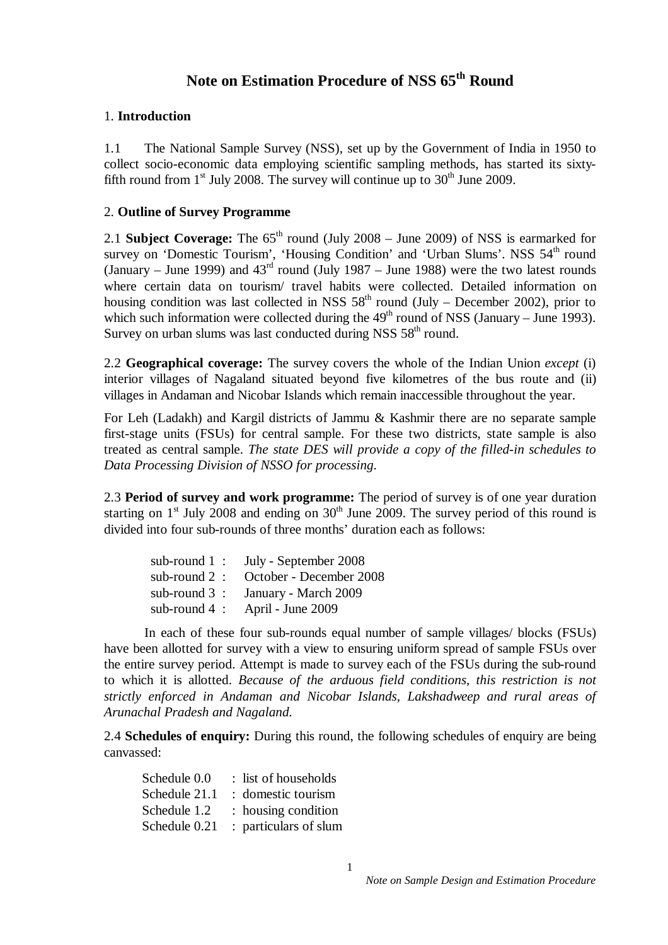# **Note on Estimation Procedure of NSS 65th Round**

# 1. **Introduction**

1.1 The National Sample Survey (NSS), set up by the Government of India in 1950 to collect socio-economic data employing scientific sampling methods, has started its sixtyfifth round from  $1<sup>st</sup>$  July 2008. The survey will continue up to  $30<sup>th</sup>$  June 2009.

# 2. **Outline of Survey Programme**

2.1 **Subject Coverage:** The 65<sup>th</sup> round (July 2008 – June 2009) of NSS is earmarked for survey on 'Domestic Tourism', 'Housing Condition' and 'Urban Slums'. NSS  $54<sup>th</sup>$  round (January – June 1999) and  $43<sup>rd</sup>$  round (July 1987 – June 1988) were the two latest rounds where certain data on tourism/ travel habits were collected. Detailed information on housing condition was last collected in NSS  $58<sup>th</sup>$  round (July – December 2002), prior to which such information were collected during the  $49<sup>th</sup>$  round of NSS (January – June 1993). Survey on urban slums was last conducted during NSS  $58<sup>th</sup>$  round.

2.2 **Geographical coverage:** The survey covers the whole of the Indian Union *except* (i) interior villages of Nagaland situated beyond five kilometres of the bus route and (ii) villages in Andaman and Nicobar Islands which remain inaccessible throughout the year.

For Leh (Ladakh) and Kargil districts of Jammu & Kashmir there are no separate sample first-stage units (FSUs) for central sample. For these two districts, state sample is also treated as central sample. *The state DES will provide a copy of the filled-in schedules to Data Processing Division of NSSO for processing*.

2.3 **Period of survey and work programme:** The period of survey is of one year duration starting on  $1<sup>st</sup>$  July 2008 and ending on  $30<sup>th</sup>$  June 2009. The survey period of this round is divided into four sub-rounds of three months' duration each as follows:

|                 | sub-round $1:$ July - September 2008 |
|-----------------|--------------------------------------|
| sub-round $2$ : | October - December 2008              |
| sub-round $3$ : | January - March 2009                 |
| sub-round $4$ : | April - June 2009                    |

In each of these four sub-rounds equal number of sample villages/ blocks (FSUs) have been allotted for survey with a view to ensuring uniform spread of sample FSUs over the entire survey period. Attempt is made to survey each of the FSUs during the sub-round to which it is allotted. *Because of the arduous field conditions, this restriction is not strictly enforced in Andaman and Nicobar Islands, Lakshadweep and rural areas of Arunachal Pradesh and Nagaland.*

2.4 **Schedules of enquiry:** During this round, the following schedules of enquiry are being canvassed:

| Schedule 0.0  | : list of households  |
|---------------|-----------------------|
| Schedule 21.1 | : domestic tourism    |
| Schedule 1.2  | : housing condition   |
| Schedule 0.21 | : particulars of slum |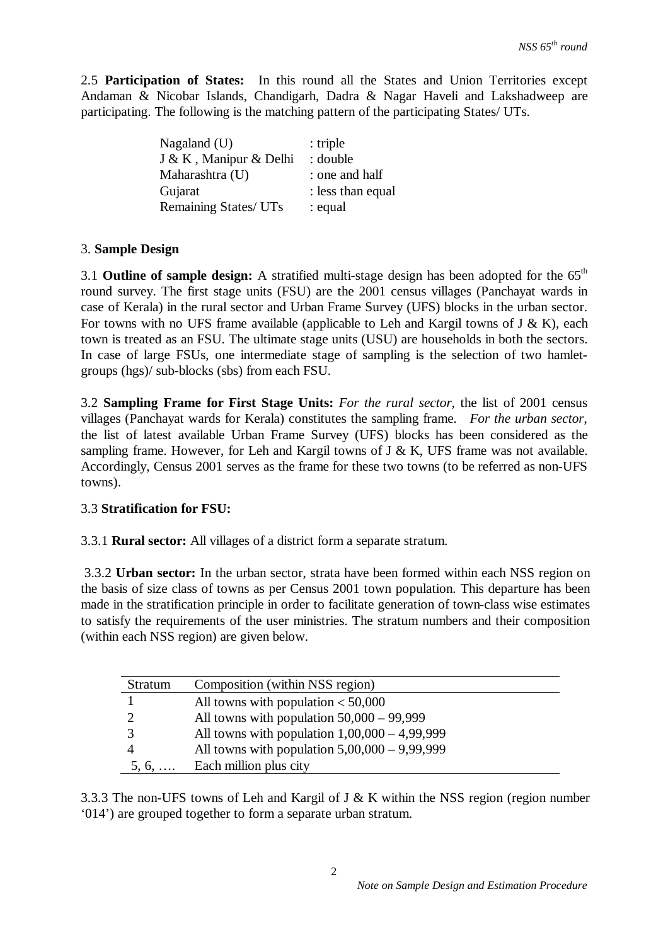2.5 **Participation of States:** In this round all the States and Union Territories except Andaman & Nicobar Islands, Chandigarh, Dadra & Nagar Haveli and Lakshadweep are participating. The following is the matching pattern of the participating States/ UTs.

| Nagaland $(U)$         | $:$ triple        |
|------------------------|-------------------|
| J & K, Manipur & Delhi | : double          |
| Maharashtra (U)        | : one and half    |
| Gujarat                | : less than equal |
| Remaining States/ UTs  | : equal           |

## 3. **Sample Design**

3.1 **Outline of sample design:** A stratified multi-stage design has been adopted for the 65th round survey. The first stage units (FSU) are the 2001 census villages (Panchayat wards in case of Kerala) in the rural sector and Urban Frame Survey (UFS) blocks in the urban sector. For towns with no UFS frame available (applicable to Leh and Kargil towns of  $J \& K$ ), each town is treated as an FSU. The ultimate stage units (USU) are households in both the sectors. In case of large FSUs, one intermediate stage of sampling is the selection of two hamletgroups (hgs)/ sub-blocks (sbs) from each FSU.

3.2 **Sampling Frame for First Stage Units:** *For the rural sector,* the list of 2001 census villages (Panchayat wards for Kerala) constitutes the sampling frame. *For the urban sector*, the list of latest available Urban Frame Survey (UFS) blocks has been considered as the sampling frame. However, for Leh and Kargil towns of  $J \& K$ , UFS frame was not available. Accordingly, Census 2001 serves as the frame for these two towns (to be referred as non-UFS towns).

## 3.3 **Stratification for FSU:**

## 3.3.1 **Rural sector:** All villages of a district form a separate stratum.

3.3.2 **Urban sector:** In the urban sector, strata have been formed within each NSS region on the basis of size class of towns as per Census 2001 town population. This departure has been made in the stratification principle in order to facilitate generation of town-class wise estimates to satisfy the requirements of the user ministries. The stratum numbers and their composition (within each NSS region) are given below.

| Stratum        | Composition (within NSS region)                 |
|----------------|-------------------------------------------------|
|                | All towns with population $< 50,000$            |
|                | All towns with population $50,000 - 99,999$     |
|                | All towns with population $1,00,000 - 4,99,999$ |
|                | All towns with population $5,00,000 - 9,99,999$ |
| $5, 6, \ldots$ | Each million plus city                          |

3.3.3 The non-UFS towns of Leh and Kargil of J & K within the NSS region (region number '014') are grouped together to form a separate urban stratum.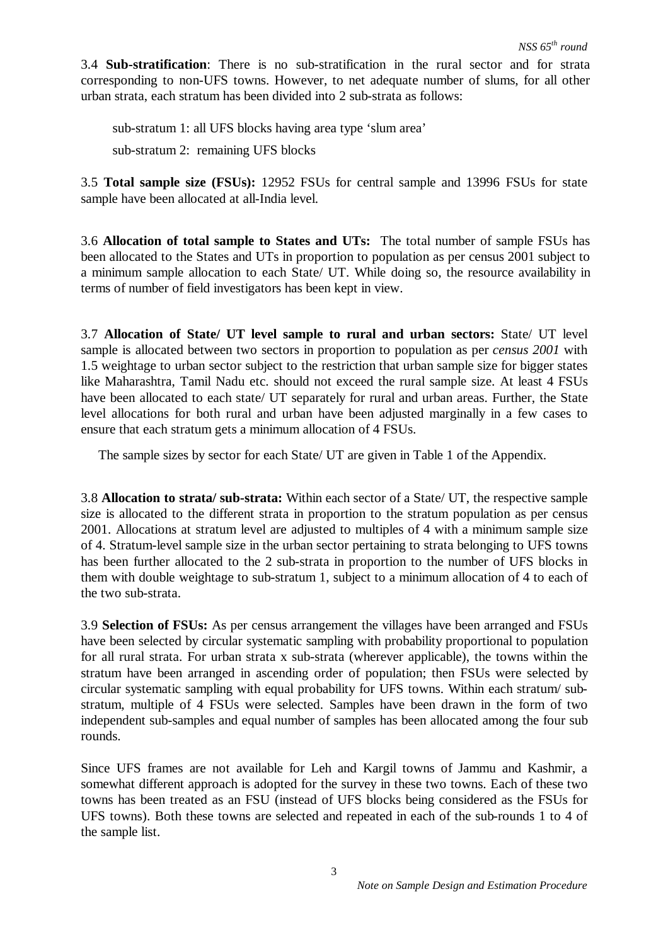3.4 **Sub-stratification**: There is no sub-stratification in the rural sector and for strata corresponding to non-UFS towns. However, to net adequate number of slums, for all other urban strata, each stratum has been divided into 2 sub-strata as follows:

sub-stratum 1: all UFS blocks having area type 'slum area' sub-stratum 2: remaining UFS blocks

3.5 **Total sample size (FSUs):** 12952 FSUs for central sample and 13996 FSUs for state sample have been allocated at all-India level.

3.6 **Allocation of total sample to States and UTs:** The total number of sample FSUs has been allocated to the States and UTs in proportion to population as per census 2001 subject to a minimum sample allocation to each State/ UT. While doing so, the resource availability in terms of number of field investigators has been kept in view.

3.7 **Allocation of State/ UT level sample to rural and urban sectors:** State/ UT level sample is allocated between two sectors in proportion to population as per *census 2001* with 1.5 weightage to urban sector subject to the restriction that urban sample size for bigger states like Maharashtra, Tamil Nadu etc. should not exceed the rural sample size. At least 4 FSUs have been allocated to each state/ UT separately for rural and urban areas. Further, the State level allocations for both rural and urban have been adjusted marginally in a few cases to ensure that each stratum gets a minimum allocation of 4 FSUs.

The sample sizes by sector for each State/ UT are given in Table 1 of the Appendix.

3.8 **Allocation to strata/ sub-strata:** Within each sector of a State/ UT, the respective sample size is allocated to the different strata in proportion to the stratum population as per census 2001. Allocations at stratum level are adjusted to multiples of 4 with a minimum sample size of 4. Stratum-level sample size in the urban sector pertaining to strata belonging to UFS towns has been further allocated to the 2 sub-strata in proportion to the number of UFS blocks in them with double weightage to sub-stratum 1, subject to a minimum allocation of 4 to each of the two sub-strata.

3.9 **Selection of FSUs:** As per census arrangement the villages have been arranged and FSUs have been selected by circular systematic sampling with probability proportional to population for all rural strata. For urban strata x sub-strata (wherever applicable), the towns within the stratum have been arranged in ascending order of population; then FSUs were selected by circular systematic sampling with equal probability for UFS towns. Within each stratum/ substratum, multiple of 4 FSUs were selected. Samples have been drawn in the form of two independent sub-samples and equal number of samples has been allocated among the four sub rounds.

Since UFS frames are not available for Leh and Kargil towns of Jammu and Kashmir, a somewhat different approach is adopted for the survey in these two towns. Each of these two towns has been treated as an FSU (instead of UFS blocks being considered as the FSUs for UFS towns). Both these towns are selected and repeated in each of the sub-rounds 1 to 4 of the sample list.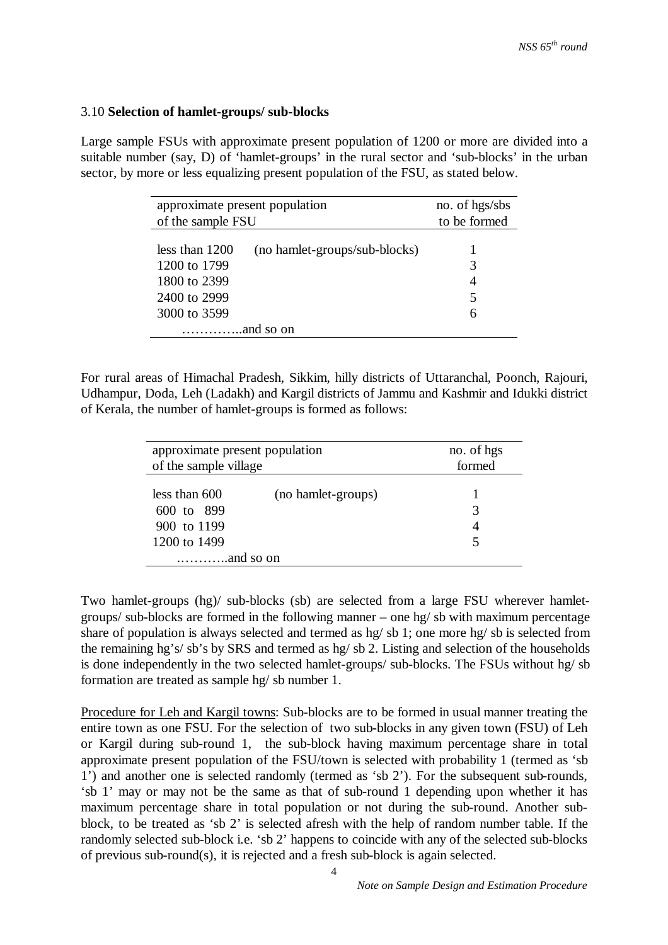## 3.10 **Selection of hamlet-groups/ sub-blocks**

Large sample FSUs with approximate present population of 1200 or more are divided into a suitable number (say, D) of 'hamlet-groups' in the rural sector and 'sub-blocks' in the urban sector, by more or less equalizing present population of the FSU, as stated below.

| approximate present population                    | no. of hgs/sbs |  |  |  |
|---------------------------------------------------|----------------|--|--|--|
| of the sample FSU                                 | to be formed   |  |  |  |
|                                                   |                |  |  |  |
| less than $1200$<br>(no hamlet-groups/sub-blocks) |                |  |  |  |
| 1200 to 1799                                      | 3              |  |  |  |
| 1800 to 2399                                      | 4              |  |  |  |
| 2400 to 2999                                      | 5              |  |  |  |
| 3000 to 3599                                      | 6              |  |  |  |
|                                                   |                |  |  |  |

For rural areas of Himachal Pradesh, Sikkim, hilly districts of Uttaranchal, Poonch, Rajouri, Udhampur, Doda, Leh (Ladakh) and Kargil districts of Jammu and Kashmir and Idukki district of Kerala, the number of hamlet-groups is formed as follows:

| approximate present population                                                                   |                    | no. of hgs |
|--------------------------------------------------------------------------------------------------|--------------------|------------|
| of the sample village                                                                            |                    | formed     |
| less than $600$<br>600 to 899<br>900 to 1199<br>1200 to 1499<br>$\dots\dots\dots\dots$ and so on | (no hamlet-groups) | 3<br>5     |

Two hamlet-groups (hg)/ sub-blocks (sb) are selected from a large FSU wherever hamletgroups/ sub-blocks are formed in the following manner – one hg/ sb with maximum percentage share of population is always selected and termed as hg/ sb 1; one more hg/ sb is selected from the remaining hg's/ sb's by SRS and termed as hg/ sb 2. Listing and selection of the households is done independently in the two selected hamlet-groups/ sub-blocks. The FSUs without hg/ sb formation are treated as sample hg/ sb number 1.

Procedure for Leh and Kargil towns: Sub-blocks are to be formed in usual manner treating the entire town as one FSU. For the selection of two sub-blocks in any given town (FSU) of Leh or Kargil during sub-round 1, the sub-block having maximum percentage share in total approximate present population of the FSU/town is selected with probability 1 (termed as 'sb 1') and another one is selected randomly (termed as 'sb 2'). For the subsequent sub-rounds, 'sb 1' may or may not be the same as that of sub-round 1 depending upon whether it has maximum percentage share in total population or not during the sub-round. Another subblock, to be treated as 'sb 2' is selected afresh with the help of random number table. If the randomly selected sub-block i.e. 'sb 2' happens to coincide with any of the selected sub-blocks of previous sub-round(s), it is rejected and a fresh sub-block is again selected.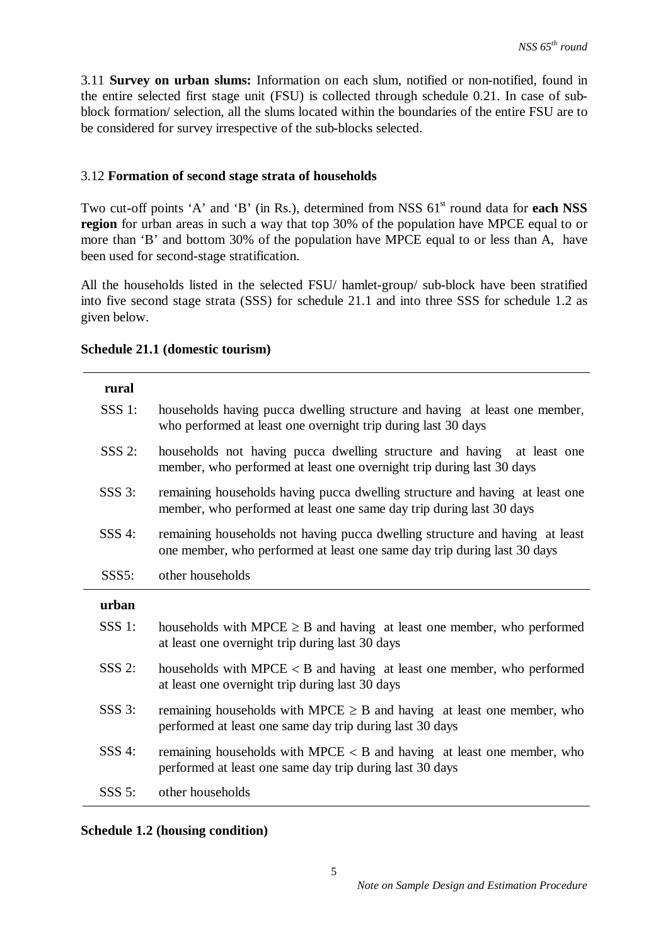3.11 **Survey on urban slums:** Information on each slum, notified or non-notified, found in the entire selected first stage unit (FSU) is collected through schedule 0.21. In case of subblock formation/ selection, all the slums located within the boundaries of the entire FSU are to be considered for survey irrespective of the sub-blocks selected.

## 3.12 **Formation of second stage strata of households**

Two cut-off points 'A' and 'B' (in Rs.), determined from NSS  $61<sup>st</sup>$  round data for **each NSS region** for urban areas in such a way that top 30% of the population have MPCE equal to or more than 'B' and bottom 30% of the population have MPCE equal to or less than A, have been used for second-stage stratification.

All the households listed in the selected FSU/ hamlet-group/ sub-block have been stratified into five second stage strata (SSS) for schedule 21.1 and into three SSS for schedule 1.2 as given below.

| rural    |                                                                                                                                                          |
|----------|----------------------------------------------------------------------------------------------------------------------------------------------------------|
| $SSS$ 1: | households having pucca dwelling structure and having at least one member,<br>who performed at least one overnight trip during last 30 days              |
| $SSS$ 2: | households not having pucca dwelling structure and having at least one<br>member, who performed at least one overnight trip during last 30 days          |
| $SSS$ 3: | remaining households having pucca dwelling structure and having at least one<br>member, who performed at least one same day trip during last 30 days     |
| $SSS$ 4: | remaining households not having pucca dwelling structure and having at least<br>one member, who performed at least one same day trip during last 30 days |
| SSS5:    | other households                                                                                                                                         |
|          |                                                                                                                                                          |
| urban    |                                                                                                                                                          |
| $SSS$ 1: | households with MPCE $\geq$ B and having at least one member, who performed<br>at least one overnight trip during last 30 days                           |
| $SSS$ 2: | households with $M PCE < B$ and having at least one member, who performed<br>at least one overnight trip during last 30 days                             |
| $SSS$ 3: | remaining households with MPCE $\geq$ B and having at least one member, who<br>performed at least one same day trip during last 30 days                  |
| $SSS$ 4: | remaining households with MPCE $\lt B$ and having at least one member, who<br>performed at least one same day trip during last 30 days                   |

### **Schedule 21.1 (domestic tourism)**

## **Schedule 1.2 (housing condition)**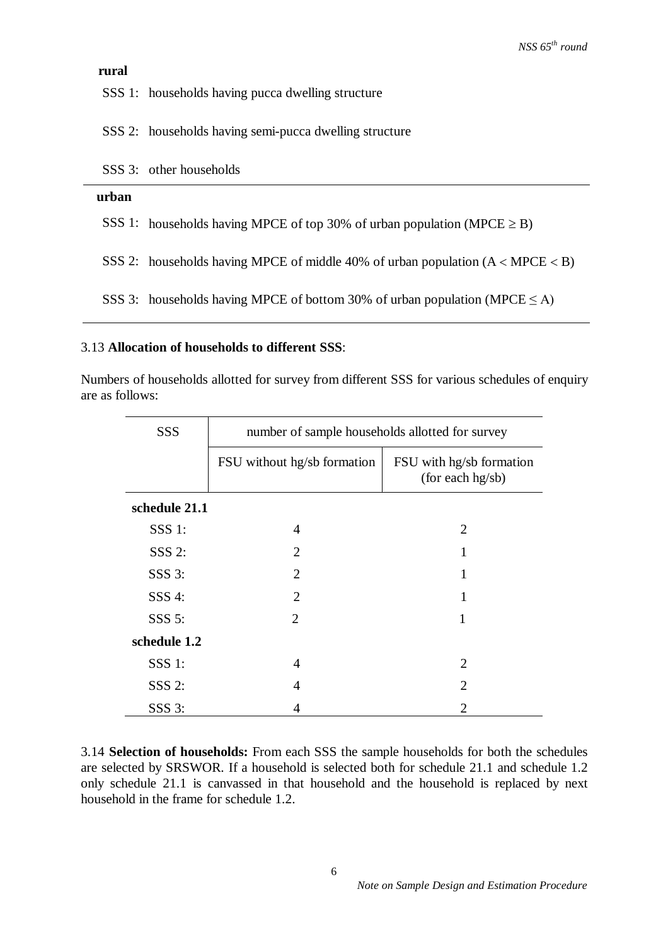### **rural**

SSS 1: households having pucca dwelling structure

SSS 2: households having semi-pucca dwelling structure

| SSS 3: other households |  |
|-------------------------|--|
|-------------------------|--|

#### **urban**

SSS 1: households having MPCE of top 30% of urban population (MPCE  $\geq$  B)

SSS 2: households having MPCE of middle 40% of urban population  $(A < MPCE < B)$ 

SSS 3: households having MPCE of bottom 30% of urban population (MPCE  $\leq$  A)

### 3.13 **Allocation of households to different SSS**:

Numbers of households allotted for survey from different SSS for various schedules of enquiry are as follows:

| <b>SSS</b>    | number of sample households allotted for survey |                                              |  |  |
|---------------|-------------------------------------------------|----------------------------------------------|--|--|
|               | FSU without hg/sb formation                     | FSU with hg/sb formation<br>(for each hg/sb) |  |  |
| schedule 21.1 |                                                 |                                              |  |  |
| $SSS$ 1:      | 4                                               | 2                                            |  |  |
| $SSS$ 2:      | $\overline{2}$                                  |                                              |  |  |
| $SSS$ 3:      | $\overline{2}$                                  |                                              |  |  |
| SSS 4:        | $\mathcal{D}_{\mathcal{L}}$                     |                                              |  |  |
| $SSS$ 5:      | 2                                               | 1                                            |  |  |
| schedule 1.2  |                                                 |                                              |  |  |
| $SSS$ 1:      | 4                                               | 2                                            |  |  |
| $SSS$ 2:      | 4                                               | 2                                            |  |  |
| $SSS$ 3:      | 4                                               | 2                                            |  |  |

3.14 **Selection of households:** From each SSS the sample households for both the schedules are selected by SRSWOR. If a household is selected both for schedule 21.1 and schedule 1.2 only schedule 21.1 is canvassed in that household and the household is replaced by next household in the frame for schedule 1.2.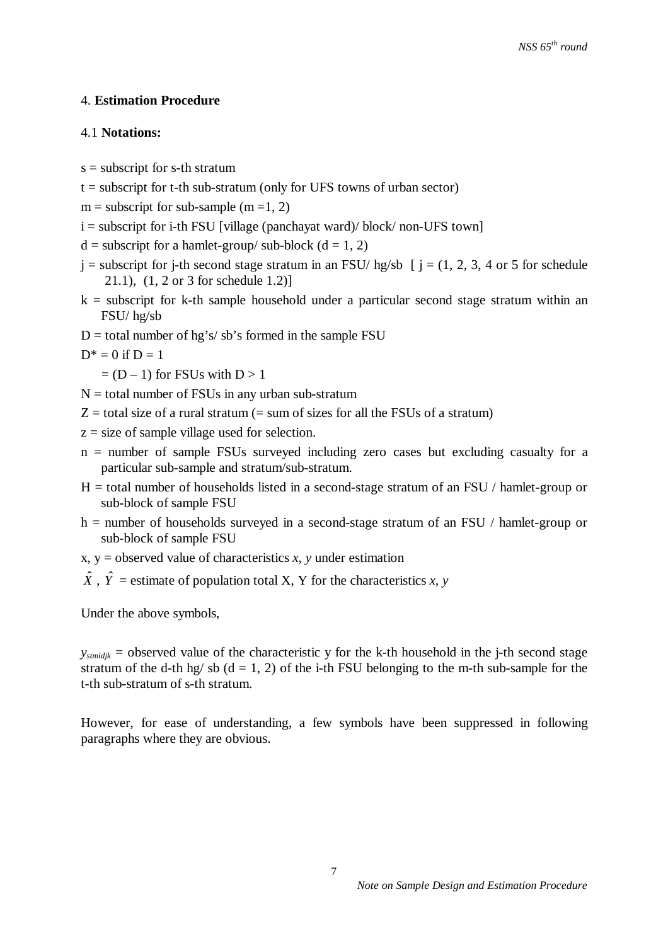## 4. **Estimation Procedure**

### 4.1 **Notations:**

- $s =$  subscript for s-th stratum
- $t =$  subscript for t-th sub-stratum (only for UFS towns of urban sector)
- $m =$  subscript for sub-sample (m =1, 2)
- $i =$  subscript for i-th FSU [village (panchayat ward)/ block/ non-UFS town]
- $d =$  subscript for a hamlet-group/ sub-block ( $d = 1, 2$ )
- $j =$  subscript for j-th second stage stratum in an FSU/ hg/sb  $j = (1, 2, 3, 4, 6)$  for schedule 21.1), (1, 2 or 3 for schedule 1.2)]
- $k =$  subscript for k-th sample household under a particular second stage stratum within an FSU/ hg/sb
- $D =$  total number of hg's/sb's formed in the sample FSU
- $D^* = 0$  if  $D = 1$

 $= (D - 1)$  for FSUs with  $D > 1$ 

- $N =$  total number of FSUs in any urban sub-stratum
- $Z =$  total size of a rural stratum (= sum of sizes for all the FSUs of a stratum)
- $z = size of sample village used for selection.$
- $n =$  number of sample FSUs surveyed including zero cases but excluding casualty for a particular sub-sample and stratum/sub-stratum.
- $H =$  total number of households listed in a second-stage stratum of an FSU / hamlet-group or sub-block of sample FSU
- h = number of households surveyed in a second-stage stratum of an FSU / hamlet-group or sub-block of sample FSU
- $x, y =$  observed value of characteristics  $x, y$  under estimation
- $\hat{X}$ ,  $\hat{Y}$  = estimate of population total X, Y for the characteristics *x*, *y*

Under the above symbols,

 $y_{\text{stmidik}}$  = observed value of the characteristic y for the k-th household in the *j*-th second stage stratum of the d-th hg/sb  $(d = 1, 2)$  of the i-th FSU belonging to the m-th sub-sample for the t-th sub-stratum of s-th stratum.

However, for ease of understanding, a few symbols have been suppressed in following paragraphs where they are obvious.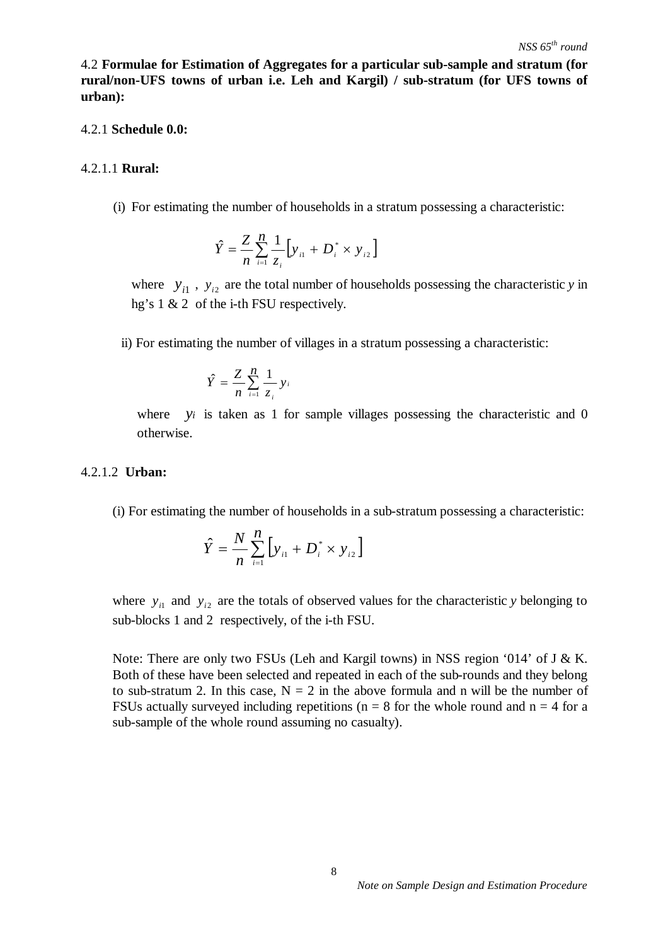4.2 **Formulae for Estimation of Aggregates for a particular sub-sample and stratum (for rural/non-UFS towns of urban i.e. Leh and Kargil) / sub-stratum (for UFS towns of urban):** 

#### 4.2.1 **Schedule 0.0:**

#### 4.2.1.1 **Rural:**

(i) For estimating the number of households in a stratum possessing a characteristic:

$$
\hat{Y} = \frac{Z}{n} \sum_{i=1}^{n} \frac{1}{z_i} \Big[ y_{i1} + D_i^* \times y_{i2} \Big]
$$

where  $y_{i1}$ ,  $y_{i2}$  are the total number of households possessing the characteristic *y* in hg's 1 & 2 of the i-th FSU respectively.

ii) For estimating the number of villages in a stratum possessing a characteristic:

$$
\hat{Y} = \frac{Z}{n} \sum_{i=1}^{n} \frac{1}{z_i} y_i
$$

where *y<sub>i</sub>* is taken as 1 for sample villages possessing the characteristic and 0 otherwise.

#### 4.2.1.2 **Urban:**

(i) For estimating the number of households in a sub-stratum possessing a characteristic:

$$
\hat{Y} = \frac{N}{n} \sum_{i=1}^{n} \left[ y_{i1} + D_{i}^{*} \times y_{i2} \right]
$$

*n*

where  $y_{i1}$  and  $y_{i2}$  are the totals of observed values for the characteristic *y* belonging to sub-blocks 1 and 2 respectively, of the i-th FSU.

Note: There are only two FSUs (Leh and Kargil towns) in NSS region '014' of J & K. Both of these have been selected and repeated in each of the sub-rounds and they belong to sub-stratum 2. In this case,  $N = 2$  in the above formula and n will be the number of FSUs actually surveyed including repetitions ( $n = 8$  for the whole round and  $n = 4$  for a sub-sample of the whole round assuming no casualty).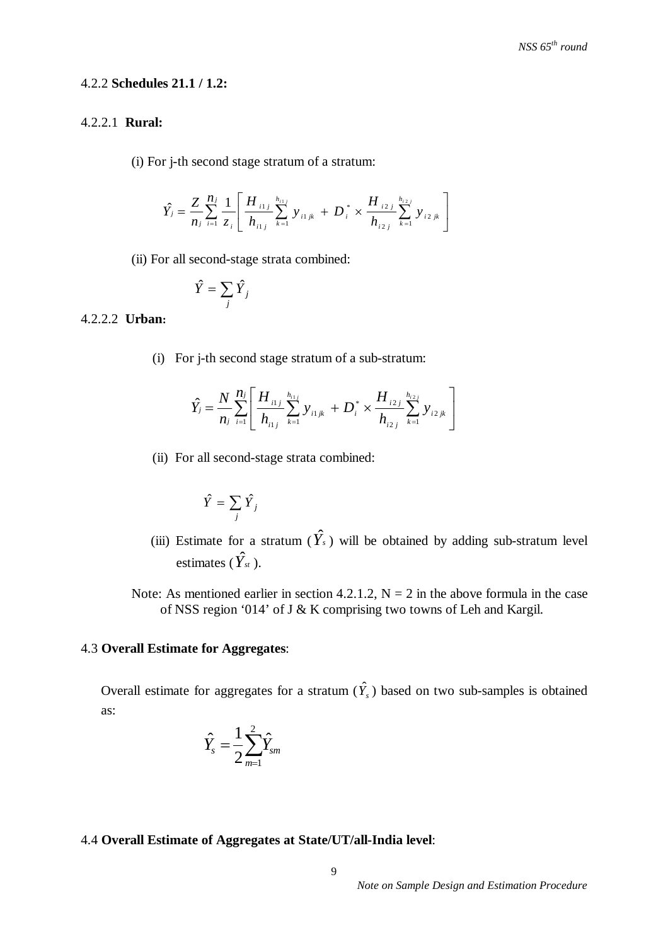## 4.2.2 **Schedules 21.1 / 1.2:**

## 4.2.2.1 **Rural:**

(i) For j-th second stage stratum of a stratum:

$$
\hat{Y}_j = \frac{Z}{n_j} \sum_{i=1}^{n_j} \frac{1}{z_i} \left[ \frac{H_{i1j}}{h_{i1j}} \sum_{k=1}^{h_{i1j}} y_{i1jk} + D_i^* \times \frac{H_{i2j}}{h_{i2j}} \sum_{k=1}^{h_{i2j}} y_{i2jk} \right]
$$

(ii) For all second-stage strata combined:

$$
\hat{Y} = \sum_j \hat{Y}_j
$$

## 4.2.2.2 **Urban:**

(i) For j-th second stage stratum of a sub-stratum:

$$
\hat{Y}_j = \frac{N}{n_j} \sum_{i=1}^{n_j} \left[ \frac{H_{i1j}}{h_{i1j}} \sum_{k=1}^{h_{i1j}} y_{i1jk} + D_i^* \times \frac{H_{i2j}}{h_{i2j}} \sum_{k=1}^{h_{i2j}} y_{i2jk} \right]
$$

(ii) For all second-stage strata combined:

$$
\hat{Y} = \sum_j \hat{Y}_j
$$

- (iii) Estimate for a stratum  $(\hat{Y}_s)$  will be obtained by adding sub-stratum level estimates ( $\hat{Y}_{st}$ ).
	- Note: As mentioned earlier in section 4.2.1.2,  $N = 2$  in the above formula in the case of NSS region '014' of J & K comprising two towns of Leh and Kargil.

## 4.3 **Overall Estimate for Aggregates**:

Overall estimate for aggregates for a stratum  $(\hat{Y}_s)$  based on two sub-samples is obtained as:

$$
\hat{Y}_s = \frac{1}{2} \sum_{m=1}^2 \hat{Y}_{sm}
$$

# 4.4 **Overall Estimate of Aggregates at State/UT/all-India level**: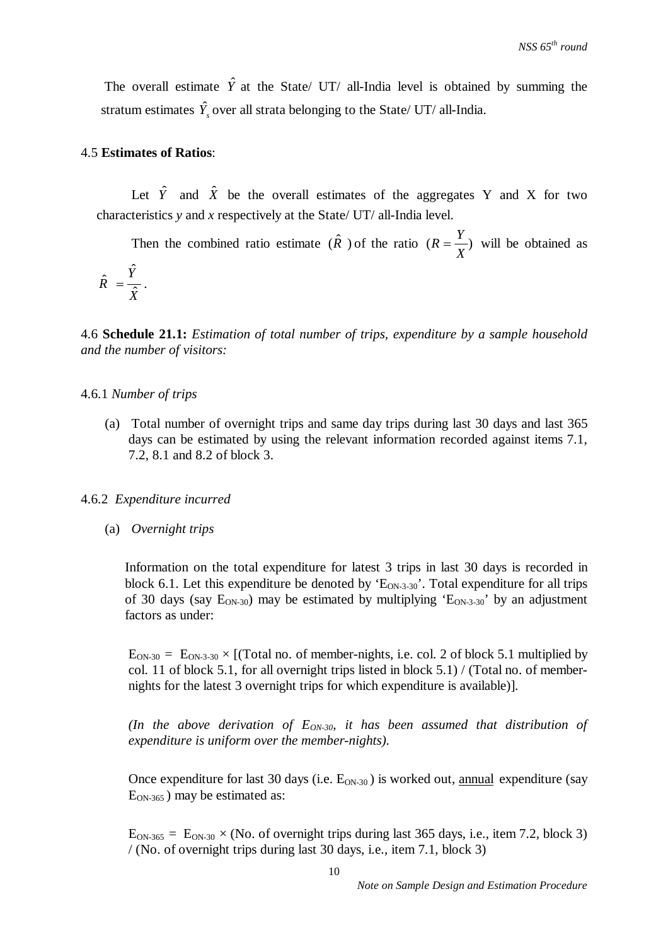The overall estimate  $\hat{Y}$  at the State/ UT/ all-India level is obtained by summing the stratum estimates  $\hat{Y}_s$  over all strata belonging to the State/ UT/ all-India.

#### 4.5 **Estimates of Ratios**:

Let  $\hat{Y}$  and  $\hat{X}$  be the overall estimates of the aggregates Y and X for two characteristics *y* and *x* respectively at the State/ UT/ all-India level.

Then the combined ratio estimate  $(\hat{R})$  of the ratio  $(R = \frac{I}{r})$ *X*  $R = \frac{Y}{Y}$  will be obtained as ˆ

*X Y*  $R = \frac{1}{\hat{X}}$  $\hat{R} = \frac{I}{\gamma}$ .

4.6 **Schedule 21.1:** *Estimation of total number of trips, expenditure by a sample household and the number of visitors:* 

#### 4.6.1 *Number of trips*

(a) Total number of overnight trips and same day trips during last 30 days and last 365 days can be estimated by using the relevant information recorded against items 7.1, 7.2, 8.1 and 8.2 of block 3.

## 4.6.2 *Expenditure incurred*

(a) *Overnight trips*

Information on the total expenditure for latest 3 trips in last 30 days is recorded in block 6.1. Let this expenditure be denoted by  $E_{ON-3-30}$ . Total expenditure for all trips of 30 days (say  $E_{ON-30}$ ) may be estimated by multiplying ' $E_{ON-3-30}$ ' by an adjustment factors as under:

 $E_{ON-30} = E_{ON-3-30} \times [Total no. of member-nights, i.e. col. 2 of block 5.1 multiplied by$ col. 11 of block 5.1, for all overnight trips listed in block  $5.1$ ) / (Total no. of membernights for the latest 3 overnight trips for which expenditure is available)].

*(In the above derivation of EON-30, it has been assumed that distribution of expenditure is uniform over the member-nights).* 

Once expenditure for last 30 days (i.e.  $E_{ON-30}$ ) is worked out, annual expenditure (say  $E<sub>ON-365</sub>$ ) may be estimated as:

 $E_{ON-365} = E_{ON-30} \times (No.$  of overnight trips during last 365 days, i.e., item 7.2, block 3) / (No. of overnight trips during last 30 days, i.e., item 7.1, block 3)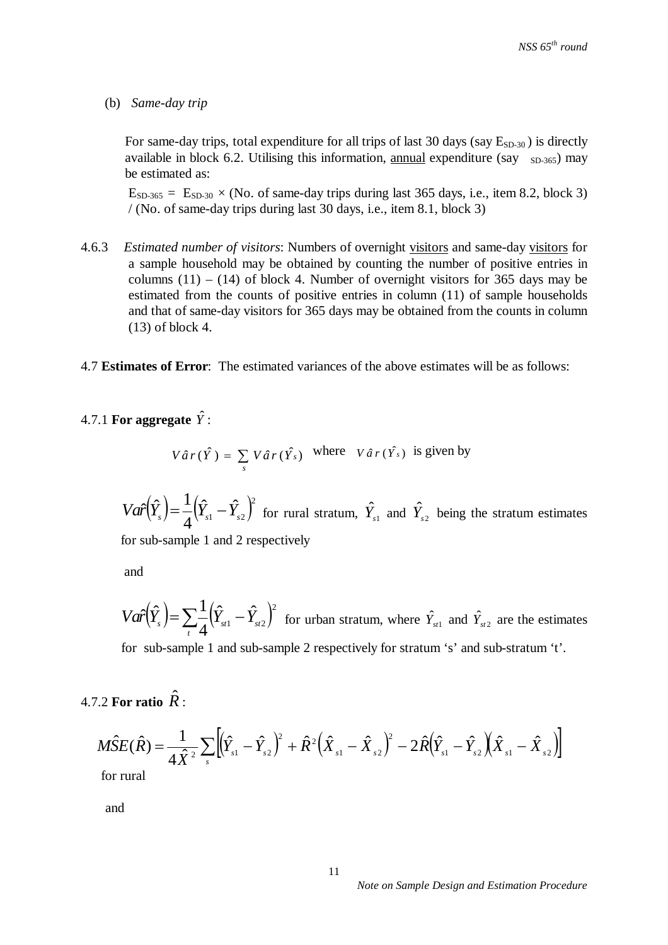### (b) *Same-day trip*

For same-day trips, total expenditure for all trips of last 30 days (say  $E_{SD-30}$ ) is directly available in block 6.2. Utilising this information, annual expenditure (say  $_{SD-365}$ ) may be estimated as:

 $E_{SD-365} = E_{SD-30} \times (No. \text{ of same-day trips during last 365 days, i.e., item 8.2, block 3)$ / (No. of same-day trips during last 30 days, i.e., item 8.1, block 3)

- 4.6.3 *Estimated number of visitors*: Numbers of overnight visitors and same-day visitors for a sample household may be obtained by counting the number of positive entries in columns  $(11) - (14)$  of block 4. Number of overnight visitors for 365 days may be estimated from the counts of positive entries in column (11) of sample households and that of same-day visitors for 365 days may be obtained from the counts in column (13) of block 4.
- 4.7 **Estimates of Error**: The estimated variances of the above estimates will be as follows:

# 4.7.1 For aggregate  $\hat{Y}$ :

$$
V\hat{a}r(\hat{Y}) = \sum_{s} V\hat{a}r(\hat{Y}_{s})
$$
 where  $V\hat{a}r(\hat{Y}_{s})$  is given by

 $(\hat{Y}_{s}) = \frac{1}{2} (\hat{Y}_{s1} - \hat{Y}_{s2})^2$  $\hat{Y}_{s1}-\hat{Y}_{s2}$ 4  $Var\left(\hat{Y}_s\right) = \frac{1}{4}\left(\hat{Y}_{s1} - \hat{Y}_{s2}\right)^2$  for rural stratum,  $\hat{Y}_{s1}$  and  $\hat{Y}_{s2}$  being the stratum estimates

for sub-sample 1 and 2 respectively

and

 $(\hat{Y}_s) = \sum_{t} \frac{1}{4} (\hat{Y}_{st1} - \hat{Y}_{st2})^2$  $Var(\hat{Y}_s) = \sum_{i=1}^{n} (\hat{Y}_{st1} - \hat{Y}_{st2})^2$  $\hat{Y}_{\scriptscriptstyle{st1}} - \hat{Y}_{\scriptscriptstyle{st2}}$ 4  $\hat{r}(\hat{Y}_s) = \sum_{i=1}^{n} (\hat{Y}_{st1} - \hat{Y}_{st2})^2$  for urban stratum, where  $\hat{Y}_{st1}$  and  $\hat{Y}_{st2}$  are the estimates for sub-sample 1 and sub-sample 2 respectively for stratum 's' and sub-stratum 't'.

# 4.7.2 For ratio  $\hat{R}$  :

$$
M\hat{S}E(\hat{R}) = \frac{1}{4\hat{X}^{2}}\sum_{s}\left[(\hat{Y}_{s1} - \hat{Y}_{s2})^{2} + \hat{R}^{2}(\hat{X}_{s1} - \hat{X}_{s2})^{2} - 2\hat{R}(\hat{Y}_{s1} - \hat{Y}_{s2})(\hat{X}_{s1} - \hat{X}_{s2})\right]
$$
for rural

for rural

and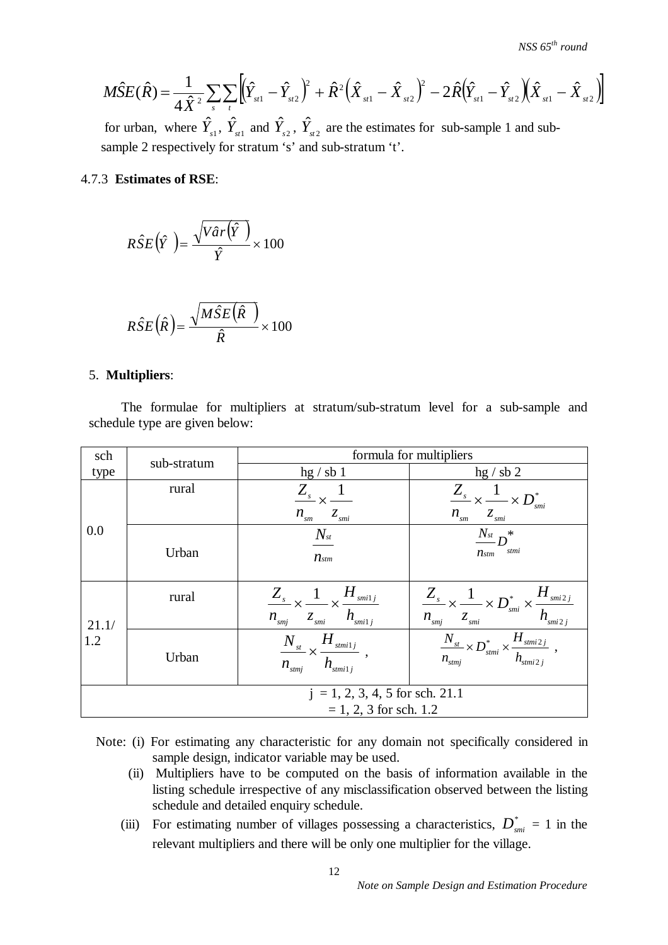$$
M\hat{S}E(\hat{R}) = \frac{1}{4\hat{X}^2} \sum_{s} \sum_{t} \left[ (\hat{Y}_{st1} - \hat{Y}_{st2})^2 + \hat{R}^2 (\hat{X}_{st1} - \hat{X}_{st2})^2 - 2\hat{R} (\hat{Y}_{st1} - \hat{Y}_{st2}) (\hat{X}_{st1} - \hat{X}_{st2}) \right]
$$

for urban, where  $\hat{Y}_{s1}$ ,  $\hat{Y}_{s1}$  and  $\hat{Y}_{s2}$ ,  $\hat{Y}_{s12}$  are the estimates for sub-sample 1 and subsample 2 respectively for stratum 's' and sub-stratum 't'.

## 4.7.3 **Estimates of RSE**:

$$
R\hat{S}E(\hat{Y}) = \frac{\sqrt{V\hat{a}r(\hat{Y})}}{\hat{Y}} \times 100
$$

$$
R\hat{S}E(\hat{R}) = \frac{\sqrt{M\hat{S}E(\hat{R})}}{\hat{R}} \times 100
$$

## 5. **Multipliers**:

 The formulae for multipliers at stratum/sub-stratum level for a sub-sample and schedule type are given below:

| sch   | sub-stratum              | formula for multipliers                                                                                      |                                                                                                                                     |  |  |  |
|-------|--------------------------|--------------------------------------------------------------------------------------------------------------|-------------------------------------------------------------------------------------------------------------------------------------|--|--|--|
| type  |                          | hg / sb1                                                                                                     | hg / sb 2                                                                                                                           |  |  |  |
|       | rural                    | $\frac{Z_s}{Z} \times \frac{1}{Z}$<br>$n_{\rm sm}$<br>$Z_{smi}$                                              | $\frac{Z_s}{n_{\rm sm}} \times \frac{1}{z_{\rm sm}} \times D_{\rm sm}^*$<br>smi                                                     |  |  |  |
| 0.0   | Urban                    | $N_{\scriptscriptstyle st}$<br>$n_{\text{stm}}$                                                              | $\frac{N_{st}}{D}n^*$<br>stmi<br>$n_{stm}$                                                                                          |  |  |  |
| 21.1/ | rural                    | $\frac{Z_s}{Z} \times \frac{1}{Z} \times \frac{H_{smi1j}}{Z}$<br>$n_{\rm smj}$ $z_{\rm smi}$ $h_{\rm smi1j}$ | $\frac{Z_s}{n_{\text{sm}j}} \times \frac{1}{z_{\text{sm}i}} \times D_{\text{sm}i}^* \times \frac{H_{\text{sm}2j}}{h_{\text{sm}2j}}$ |  |  |  |
| 1.2   | Urban                    | $\frac{N_{_{st}}}{n_{_{stmj}}} \times \frac{H_{_{stmi1j}}}{h_{_{stmi1j}}} \ ,$                               | $\frac{N_{_{st}}}{n_{_{stmj}}} \times D^{*}_{_{stmi}} \times \frac{H_{_{stmi2j}}}{h_{_{stmi2j}}}$ ,                                 |  |  |  |
|       |                          | $j = 1, 2, 3, 4, 5$ for sch. 21.1                                                                            |                                                                                                                                     |  |  |  |
|       | $= 1, 2, 3$ for sch. 1.2 |                                                                                                              |                                                                                                                                     |  |  |  |

- Note: (i) For estimating any characteristic for any domain not specifically considered in sample design, indicator variable may be used.
	- (ii) Multipliers have to be computed on the basis of information available in the listing schedule irrespective of any misclassification observed between the listing schedule and detailed enquiry schedule.
	- (iii) For estimating number of villages possessing a characteristics,  $D_{smi}^* = 1$  in the relevant multipliers and there will be only one multiplier for the village.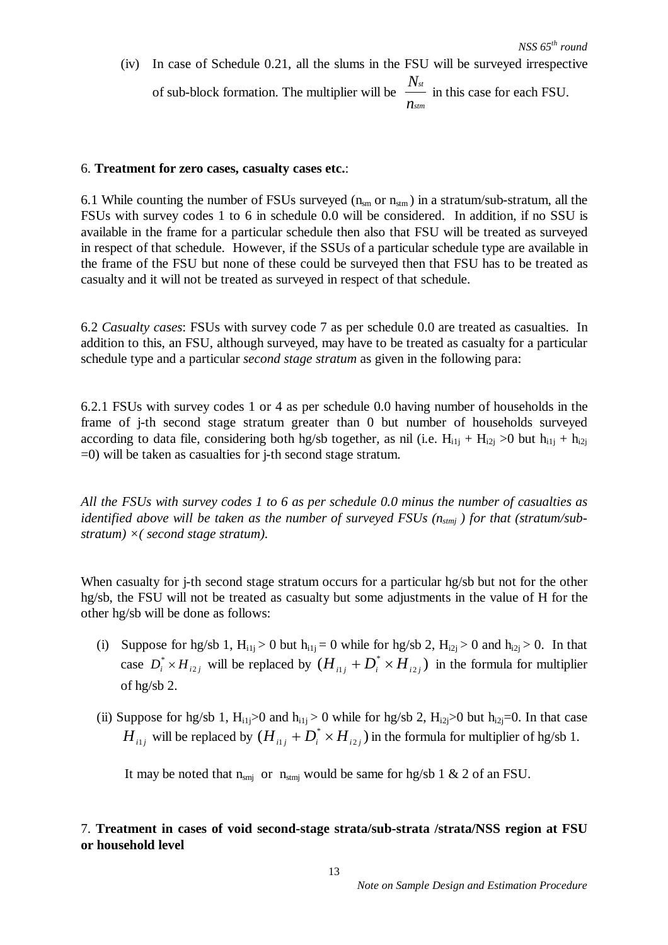(iv) In case of Schedule 0.21, all the slums in the FSU will be surveyed irrespective of sub-block formation. The multiplier will be *stm st n N* in this case for each FSU.

#### 6. **Treatment for zero cases, casualty cases etc.**:

6.1 While counting the number of FSUs surveyed  $(n_{\rm sm}$  or  $n_{\rm atm})$  in a stratum/sub-stratum, all the FSUs with survey codes 1 to 6 in schedule 0.0 will be considered. In addition, if no SSU is available in the frame for a particular schedule then also that FSU will be treated as surveyed in respect of that schedule. However, if the SSUs of a particular schedule type are available in the frame of the FSU but none of these could be surveyed then that FSU has to be treated as casualty and it will not be treated as surveyed in respect of that schedule.

6.2 *Casualty cases*: FSUs with survey code 7 as per schedule 0.0 are treated as casualties. In addition to this, an FSU, although surveyed, may have to be treated as casualty for a particular schedule type and a particular *second stage stratum* as given in the following para:

6.2.1 FSUs with survey codes 1 or 4 as per schedule 0.0 having number of households in the frame of j-th second stage stratum greater than 0 but number of households surveyed according to data file, considering both hg/sb together, as nil (i.e.  $H_{i1j} + H_{i2j} > 0$  but  $h_{i1j} + h_{i2j}$ =0) will be taken as casualties for j-th second stage stratum.

*All the FSUs with survey codes 1 to 6 as per schedule 0.0 minus the number of casualties as identified above will be taken as the number of surveyed FSUs (nstmj ) for that (stratum/substratum) ×( second stage stratum).*

When casualty for *j*-th second stage stratum occurs for a particular hg/sb but not for the other hg/sb, the FSU will not be treated as casualty but some adjustments in the value of H for the other hg/sb will be done as follows:

- (i) Suppose for hg/sb 1,  $H_{i1} > 0$  but  $h_{i1} = 0$  while for hg/sb 2,  $H_{i2} > 0$  and  $h_{i2} > 0$ . In that case  $D_i^* \times H_{i2j}$  will be replaced by  $(H_{i1j} + D_i^* \times H_{i2j})$  in the formula for multiplier of hg/sb 2.
- (ii) Suppose for hg/sb 1,  $H_{i1} > 0$  and  $h_{i1} > 0$  while for hg/sb 2,  $H_{i2} > 0$  but  $h_{i2} = 0$ . In that case  $H_{ij}$  will be replaced by  $(H_{ij} + D_i^* \times H_{ij})$  in the formula for multiplier of hg/sb 1.

It may be noted that  $n_{\text{smj}}$  or  $n_{\text{stmj}}$  would be same for hg/sb 1 & 2 of an FSU.

## 7. **Treatment in cases of void second-stage strata/sub-strata /strata/NSS region at FSU or household level**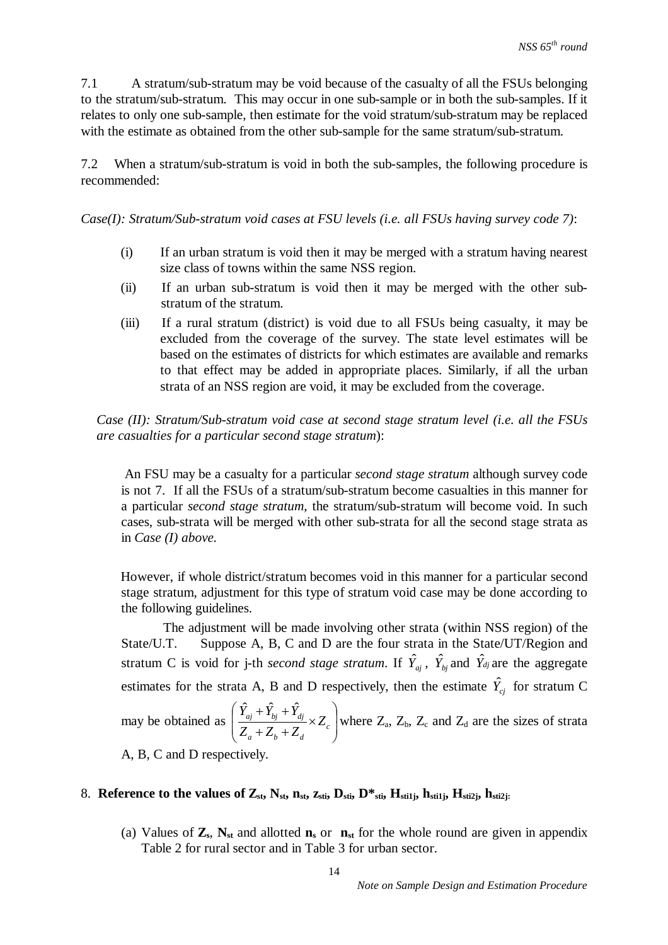7.1 A stratum/sub-stratum may be void because of the casualty of all the FSUs belonging to the stratum/sub-stratum. This may occur in one sub-sample or in both the sub-samples. If it relates to only one sub-sample, then estimate for the void stratum/sub-stratum may be replaced with the estimate as obtained from the other sub-sample for the same stratum/sub-stratum.

7.2 When a stratum/sub-stratum is void in both the sub-samples, the following procedure is recommended:

*Case(I): Stratum/Sub-stratum void cases at FSU levels (i.e. all FSUs having survey code 7)*:

- (i) If an urban stratum is void then it may be merged with a stratum having nearest size class of towns within the same NSS region.
- (ii) If an urban sub-stratum is void then it may be merged with the other substratum of the stratum.
- (iii) If a rural stratum (district) is void due to all FSUs being casualty, it may be excluded from the coverage of the survey. The state level estimates will be based on the estimates of districts for which estimates are available and remarks to that effect may be added in appropriate places. Similarly, if all the urban strata of an NSS region are void, it may be excluded from the coverage.

*Case (II): Stratum/Sub-stratum void case at second stage stratum level (i.e. all the FSUs are casualties for a particular second stage stratum*):

An FSU may be a casualty for a particular *second stage stratum* although survey code is not 7. If all the FSUs of a stratum/sub-stratum become casualties in this manner for a particular *second stage stratum*, the stratum/sub-stratum will become void. In such cases, sub-strata will be merged with other sub-strata for all the second stage strata as in *Case (I) above.* 

However, if whole district/stratum becomes void in this manner for a particular second stage stratum, adjustment for this type of stratum void case may be done according to the following guidelines.

 The adjustment will be made involving other strata (within NSS region) of the State/U.T. Suppose A, B, C and D are the four strata in the State/UT/Region and stratum C is void for j-th *second stage stratum*. If  $\hat{Y}_{a,j}$ ,  $\hat{Y}_{bj}$  and  $\hat{Y}_{dj}$  are the aggregate estimates for the strata A, B and D respectively, then the estimate  $\hat{Y}_{c_j}$  for stratum C may be obtained as  $\left[ \frac{I_{aj} + I_{bj} + I_{dj}}{Z_a + Z_b + Z_d} \times Z_c \right]$  $\bigg)$  $\setminus$  $\overline{\phantom{a}}$  $\mathsf{I}$  $\setminus$ ſ  $\times$  $+Z_{h}$ +  $+Y_{bi}$  + *c*  $a \cup \mathcal{L}_b \cup \mathcal{L}_d$  $\frac{a_j - b_j - d_j}{Z} \times Z$  $Z_a + Z_b + Z$  $\hat{Y}_{ai} + \hat{Y}_{bi} + \hat{Y}_{ci}$ where  $Z_a$ ,  $Z_b$ ,  $Z_c$  and  $Z_d$  are the sizes of strata

A, B, C and D respectively.

## 8. Reference to the values of  $Z_{st}$ ,  $N_{st}$ ,  $n_{st}$ ,  $z_{sti}$ ,  $D_{sti}$ ,  $D_{sti}^*$ ,  $H_{stil}$ ,  $h_{stil}$ ,  $H_{stil}$ ,  $h_{stil}$ .

(a) Values of  $\mathbf{Z}_s$ ,  $\mathbf{N}_{st}$  and allotted  $\mathbf{n}_s$  or  $\mathbf{n}_{st}$  for the whole round are given in appendix Table 2 for rural sector and in Table 3 for urban sector.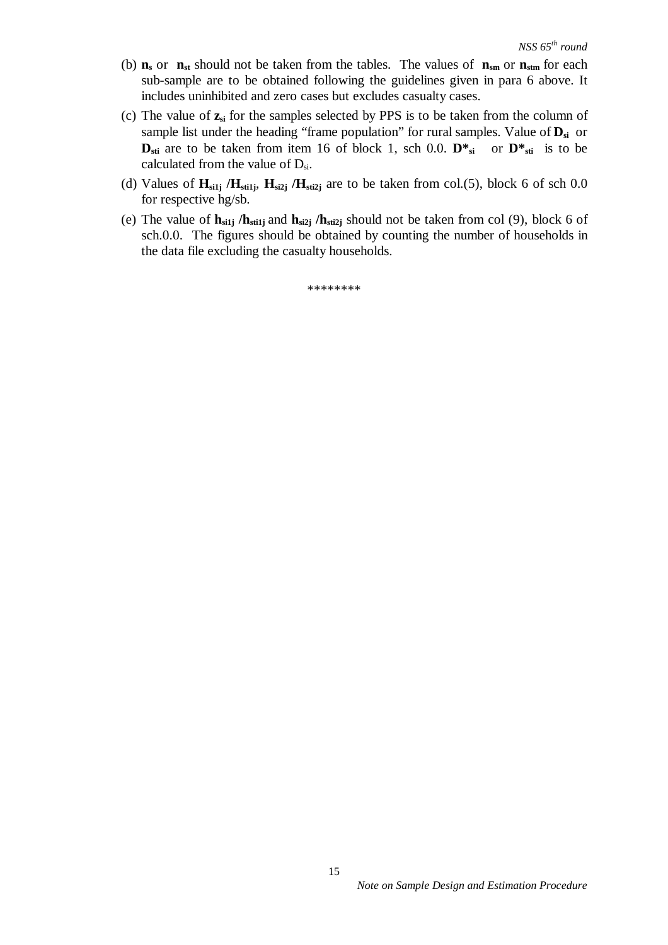- (b)  $\mathbf{n}_s$  or  $\mathbf{n}_{st}$  should not be taken from the tables. The values of  $\mathbf{n}_{sm}$  or  $\mathbf{n}_{stm}$  for each sub-sample are to be obtained following the guidelines given in para 6 above. It includes uninhibited and zero cases but excludes casualty cases.
- (c) The value of **zsi** for the samples selected by PPS is to be taken from the column of sample list under the heading "frame population" for rural samples. Value of **Dsi** or  $\mathbf{D}_{\rm sti}$  are to be taken from item 16 of block 1, sch 0.0.  $\mathbf{D}^*$ <sub>si</sub> or  $\mathbf{D}^*$ <sub>sti</sub> is to be calculated from the value of  $D_{si}$ .
- (d) Values of  $H_{silj}$  / $H_{stilj}$ ,  $H_{si2j}$  / $H_{stilj}$  are to be taken from col.(5), block 6 of sch 0.0 for respective hg/sb.
- (e) The value of **hsi1j /hsti1j** and **hsi2j /hsti2j** should not be taken from col (9), block 6 of sch.0.0. The figures should be obtained by counting the number of households in the data file excluding the casualty households.

\*\*\*\*\*\*\*\*